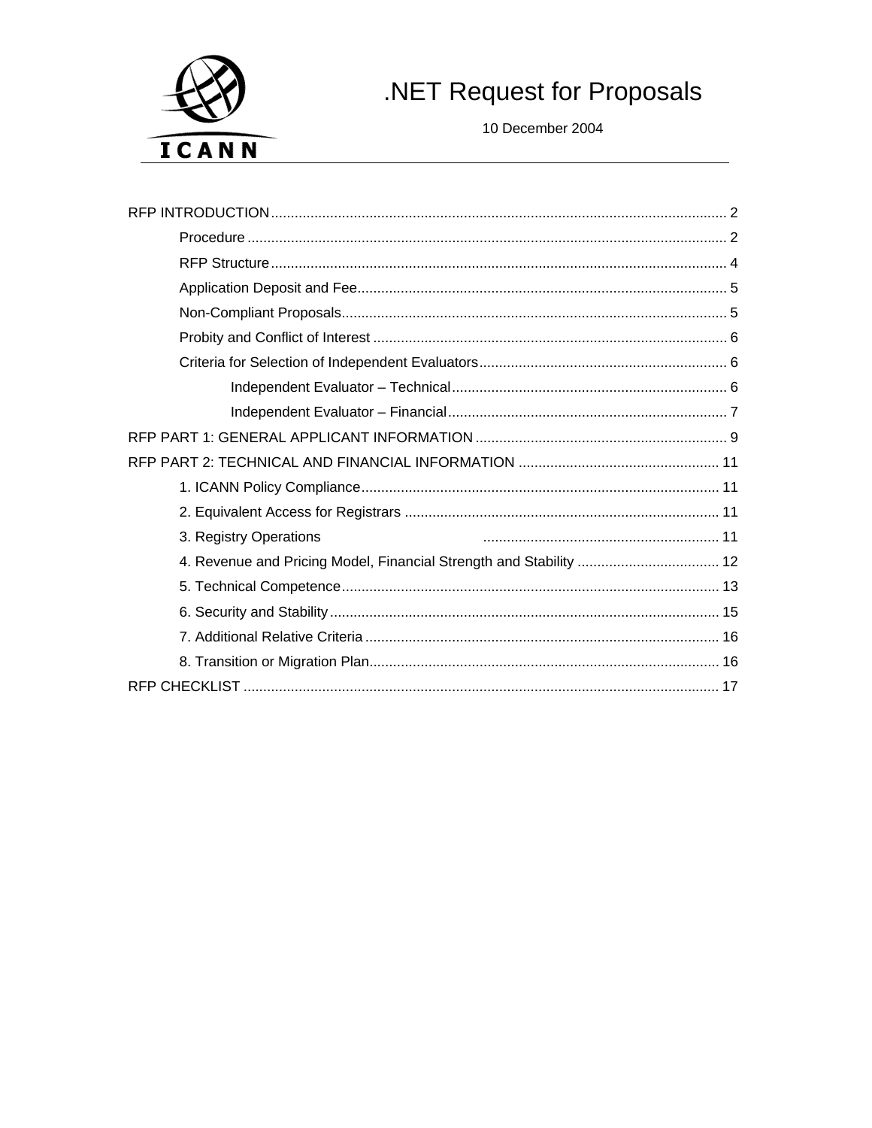

# .NET Request for Proposals

10 December 2004

| 3. Registry Operations                                             |
|--------------------------------------------------------------------|
| 4. Revenue and Pricing Model, Financial Strength and Stability  12 |
|                                                                    |
|                                                                    |
|                                                                    |
|                                                                    |
|                                                                    |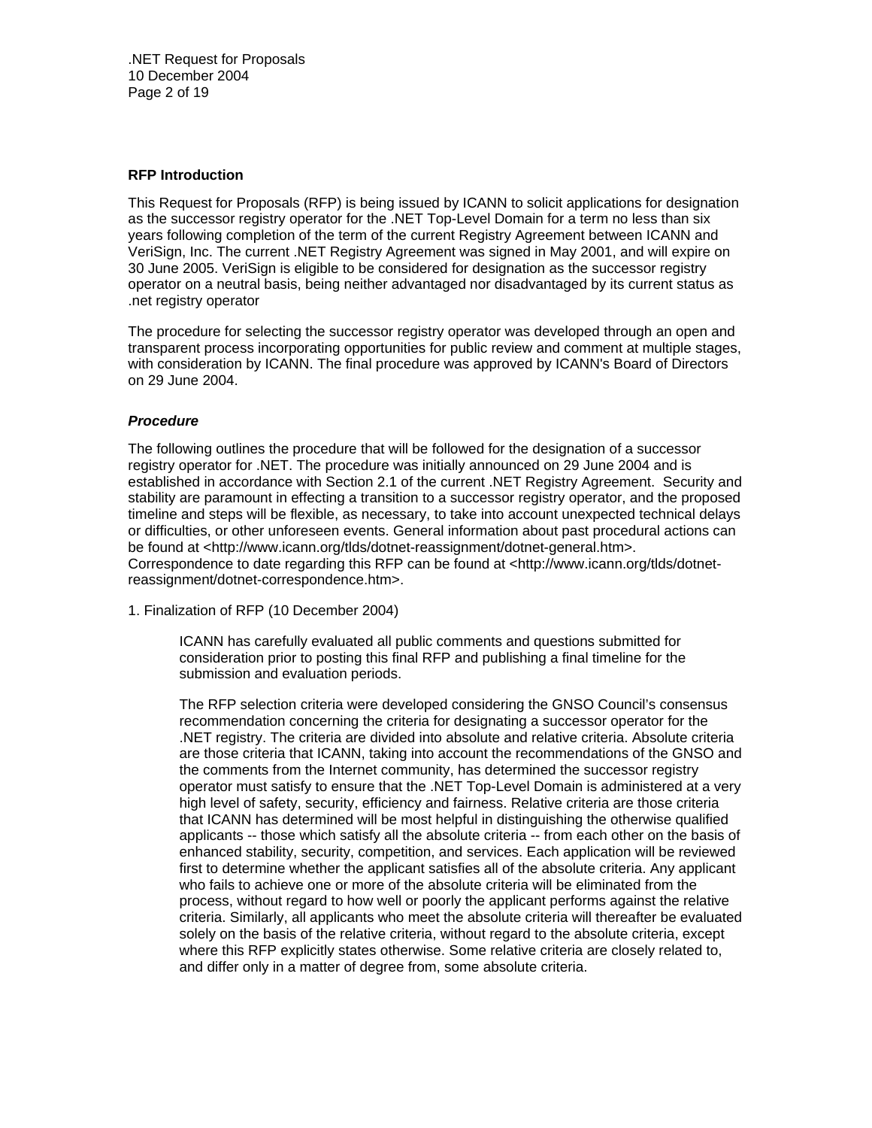.NET Request for Proposals 10 December 2004 Page 2 of 19

## **RFP Introduction**

This Request for Proposals (RFP) is being issued by ICANN to solicit applications for designation as the successor registry operator for the .NET Top-Level Domain for a term no less than six years following completion of the term of the current Registry Agreement between ICANN and VeriSign, Inc. The current .NET Registry Agreement was signed in May 2001, and will expire on 30 June 2005. VeriSign is eligible to be considered for designation as the successor registry operator on a neutral basis, being neither advantaged nor disadvantaged by its current status as .net registry operator

The procedure for selecting the successor registry operator was developed through an open and transparent process incorporating opportunities for public review and comment at multiple stages, with consideration by ICANN. The final procedure was approved by ICANN's Board of Directors on 29 June 2004.

#### *Procedure*

The following outlines the procedure that will be followed for the designation of a successor registry operator for .NET. The procedure was initially announced on 29 June 2004 and is established in accordance with Section 2.1 of the current .NET Registry Agreement. Security and stability are paramount in effecting a transition to a successor registry operator, and the proposed timeline and steps will be flexible, as necessary, to take into account unexpected technical delays or difficulties, or other unforeseen events. General information about past procedural actions can be found at <http://www.icann.org/tlds/dotnet-reassignment/dotnet-general.htm>. Correspondence to date regarding this RFP can be found at <http://www.icann.org/tlds/dotnetreassignment/dotnet-correspondence.htm>.

1. Finalization of RFP (10 December 2004)

ICANN has carefully evaluated all public comments and questions submitted for consideration prior to posting this final RFP and publishing a final timeline for the submission and evaluation periods.

The RFP selection criteria were developed considering the GNSO Council's consensus recommendation concerning the criteria for designating a successor operator for the .NET registry. The criteria are divided into absolute and relative criteria. Absolute criteria are those criteria that ICANN, taking into account the recommendations of the GNSO and the comments from the Internet community, has determined the successor registry operator must satisfy to ensure that the .NET Top-Level Domain is administered at a very high level of safety, security, efficiency and fairness. Relative criteria are those criteria that ICANN has determined will be most helpful in distinguishing the otherwise qualified applicants -- those which satisfy all the absolute criteria -- from each other on the basis of enhanced stability, security, competition, and services. Each application will be reviewed first to determine whether the applicant satisfies all of the absolute criteria. Any applicant who fails to achieve one or more of the absolute criteria will be eliminated from the process, without regard to how well or poorly the applicant performs against the relative criteria. Similarly, all applicants who meet the absolute criteria will thereafter be evaluated solely on the basis of the relative criteria, without regard to the absolute criteria, except where this RFP explicitly states otherwise. Some relative criteria are closely related to, and differ only in a matter of degree from, some absolute criteria.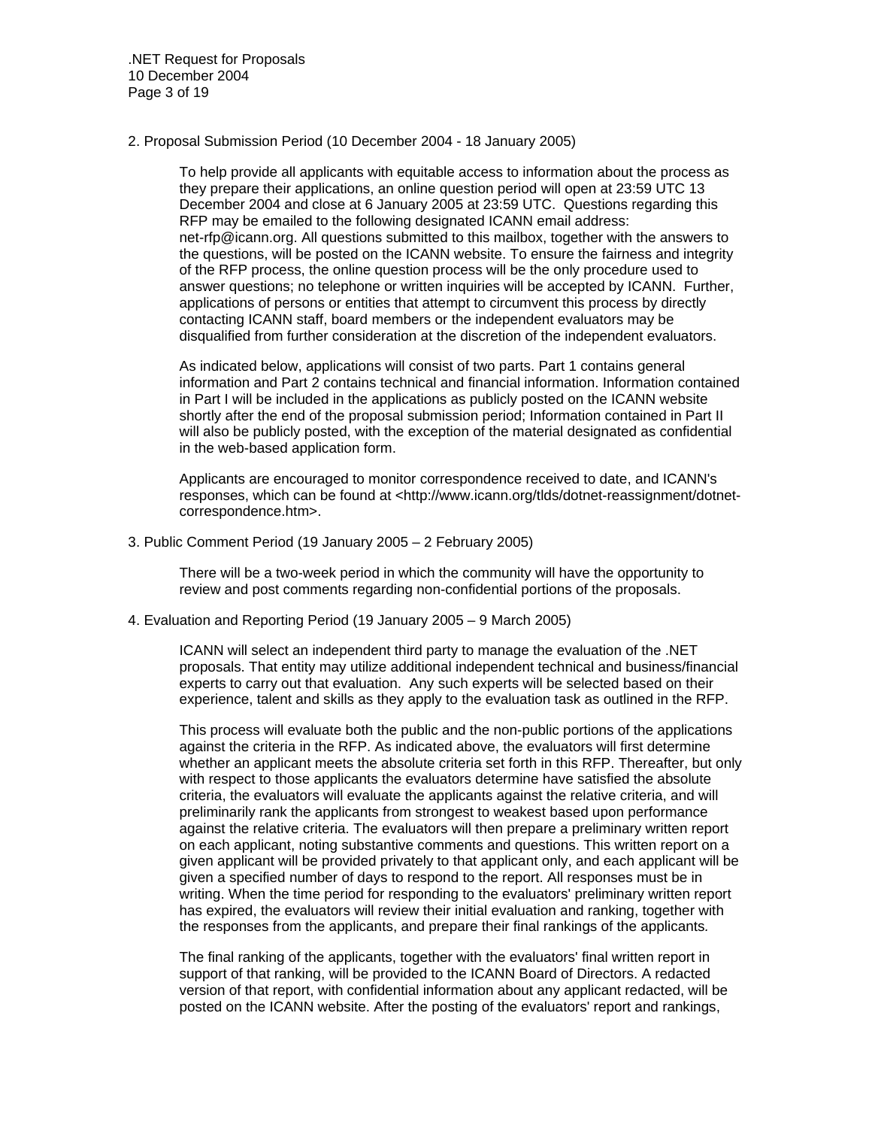.NET Request for Proposals 10 December 2004 Page 3 of 19

2. Proposal Submission Period (10 December 2004 - 18 January 2005)

To help provide all applicants with equitable access to information about the process as they prepare their applications, an online question period will open at 23:59 UTC 13 December 2004 and close at 6 January 2005 at 23:59 UTC. Questions regarding this RFP may be emailed to the following designated ICANN email address: net-rfp@icann.org. All questions submitted to this mailbox, together with the answers to the questions, will be posted on the ICANN website. To ensure the fairness and integrity of the RFP process, the online question process will be the only procedure used to answer questions; no telephone or written inquiries will be accepted by ICANN. Further, applications of persons or entities that attempt to circumvent this process by directly contacting ICANN staff, board members or the independent evaluators may be disqualified from further consideration at the discretion of the independent evaluators.

As indicated below, applications will consist of two parts. Part 1 contains general information and Part 2 contains technical and financial information. Information contained in Part I will be included in the applications as publicly posted on the ICANN website shortly after the end of the proposal submission period; Information contained in Part II will also be publicly posted, with the exception of the material designated as confidential in the web-based application form.

Applicants are encouraged to monitor correspondence received to date, and ICANN's responses, which can be found at <http://www.icann.org/tlds/dotnet-reassignment/dotnetcorrespondence.htm>.

3. Public Comment Period (19 January 2005 – 2 February 2005)

There will be a two-week period in which the community will have the opportunity to review and post comments regarding non-confidential portions of the proposals.

## 4. Evaluation and Reporting Period (19 January 2005 – 9 March 2005)

ICANN will select an independent third party to manage the evaluation of the .NET proposals. That entity may utilize additional independent technical and business/financial experts to carry out that evaluation. Any such experts will be selected based on their experience, talent and skills as they apply to the evaluation task as outlined in the RFP.

This process will evaluate both the public and the non-public portions of the applications against the criteria in the RFP. As indicated above, the evaluators will first determine whether an applicant meets the absolute criteria set forth in this RFP. Thereafter, but only with respect to those applicants the evaluators determine have satisfied the absolute criteria, the evaluators will evaluate the applicants against the relative criteria, and will preliminarily rank the applicants from strongest to weakest based upon performance against the relative criteria. The evaluators will then prepare a preliminary written report on each applicant, noting substantive comments and questions. This written report on a given applicant will be provided privately to that applicant only, and each applicant will be given a specified number of days to respond to the report. All responses must be in writing. When the time period for responding to the evaluators' preliminary written report has expired, the evaluators will review their initial evaluation and ranking, together with the responses from the applicants, and prepare their final rankings of the applicants*.* 

The final ranking of the applicants, together with the evaluators' final written report in support of that ranking, will be provided to the ICANN Board of Directors. A redacted version of that report, with confidential information about any applicant redacted, will be posted on the ICANN website. After the posting of the evaluators' report and rankings,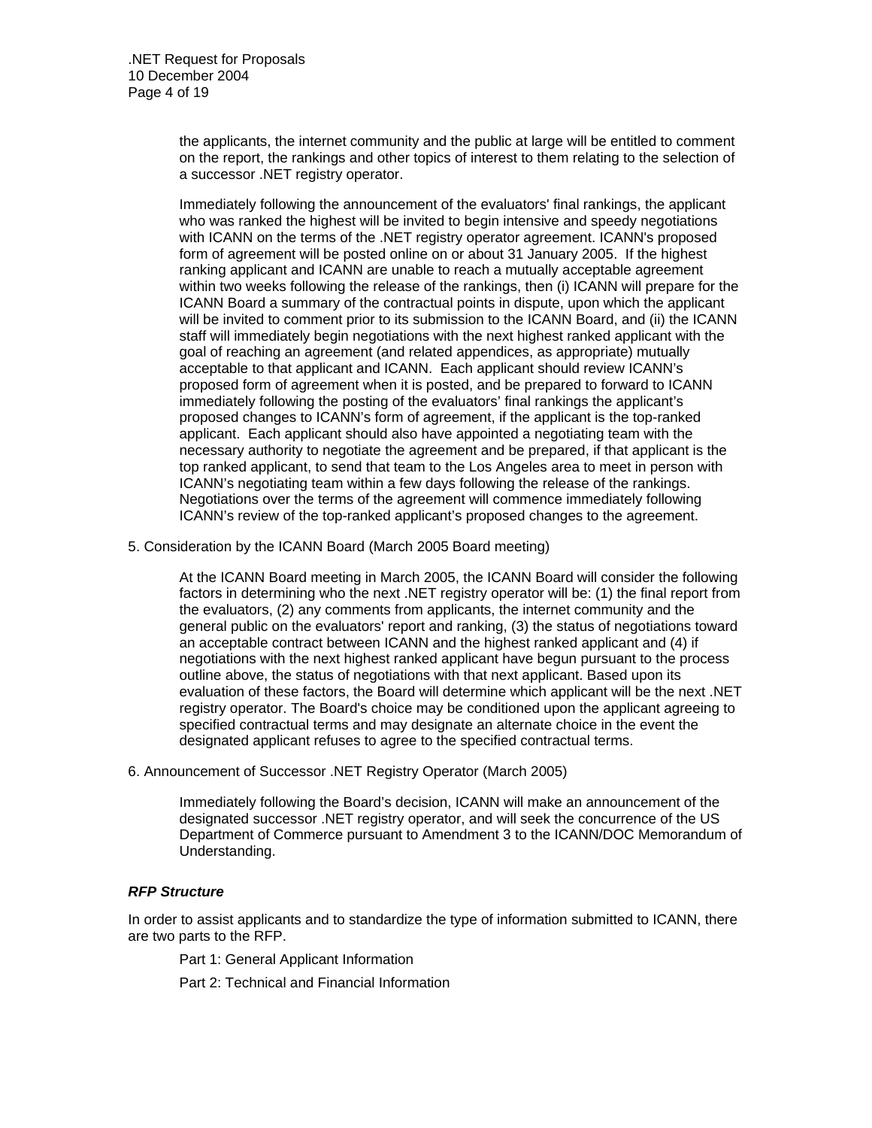the applicants, the internet community and the public at large will be entitled to comment on the report, the rankings and other topics of interest to them relating to the selection of a successor .NET registry operator.

Immediately following the announcement of the evaluators' final rankings, the applicant who was ranked the highest will be invited to begin intensive and speedy negotiations with ICANN on the terms of the .NET registry operator agreement. ICANN's proposed form of agreement will be posted online on or about 31 January 2005. If the highest ranking applicant and ICANN are unable to reach a mutually acceptable agreement within two weeks following the release of the rankings, then (i) ICANN will prepare for the ICANN Board a summary of the contractual points in dispute, upon which the applicant will be invited to comment prior to its submission to the ICANN Board, and (ii) the ICANN staff will immediately begin negotiations with the next highest ranked applicant with the goal of reaching an agreement (and related appendices, as appropriate) mutually acceptable to that applicant and ICANN. Each applicant should review ICANN's proposed form of agreement when it is posted, and be prepared to forward to ICANN immediately following the posting of the evaluators' final rankings the applicant's proposed changes to ICANN's form of agreement, if the applicant is the top-ranked applicant. Each applicant should also have appointed a negotiating team with the necessary authority to negotiate the agreement and be prepared, if that applicant is the top ranked applicant, to send that team to the Los Angeles area to meet in person with ICANN's negotiating team within a few days following the release of the rankings. Negotiations over the terms of the agreement will commence immediately following ICANN's review of the top-ranked applicant's proposed changes to the agreement.

5. Consideration by the ICANN Board (March 2005 Board meeting)

At the ICANN Board meeting in March 2005, the ICANN Board will consider the following factors in determining who the next .NET registry operator will be: (1) the final report from the evaluators, (2) any comments from applicants, the internet community and the general public on the evaluators' report and ranking, (3) the status of negotiations toward an acceptable contract between ICANN and the highest ranked applicant and (4) if negotiations with the next highest ranked applicant have begun pursuant to the process outline above, the status of negotiations with that next applicant. Based upon its evaluation of these factors, the Board will determine which applicant will be the next .NET registry operator. The Board's choice may be conditioned upon the applicant agreeing to specified contractual terms and may designate an alternate choice in the event the designated applicant refuses to agree to the specified contractual terms.

6. Announcement of Successor .NET Registry Operator (March 2005)

Immediately following the Board's decision, ICANN will make an announcement of the designated successor .NET registry operator, and will seek the concurrence of the US Department of Commerce pursuant to Amendment 3 to the ICANN/DOC Memorandum of Understanding.

## *RFP Structure*

In order to assist applicants and to standardize the type of information submitted to ICANN, there are two parts to the RFP.

Part 1: General Applicant Information

Part 2: Technical and Financial Information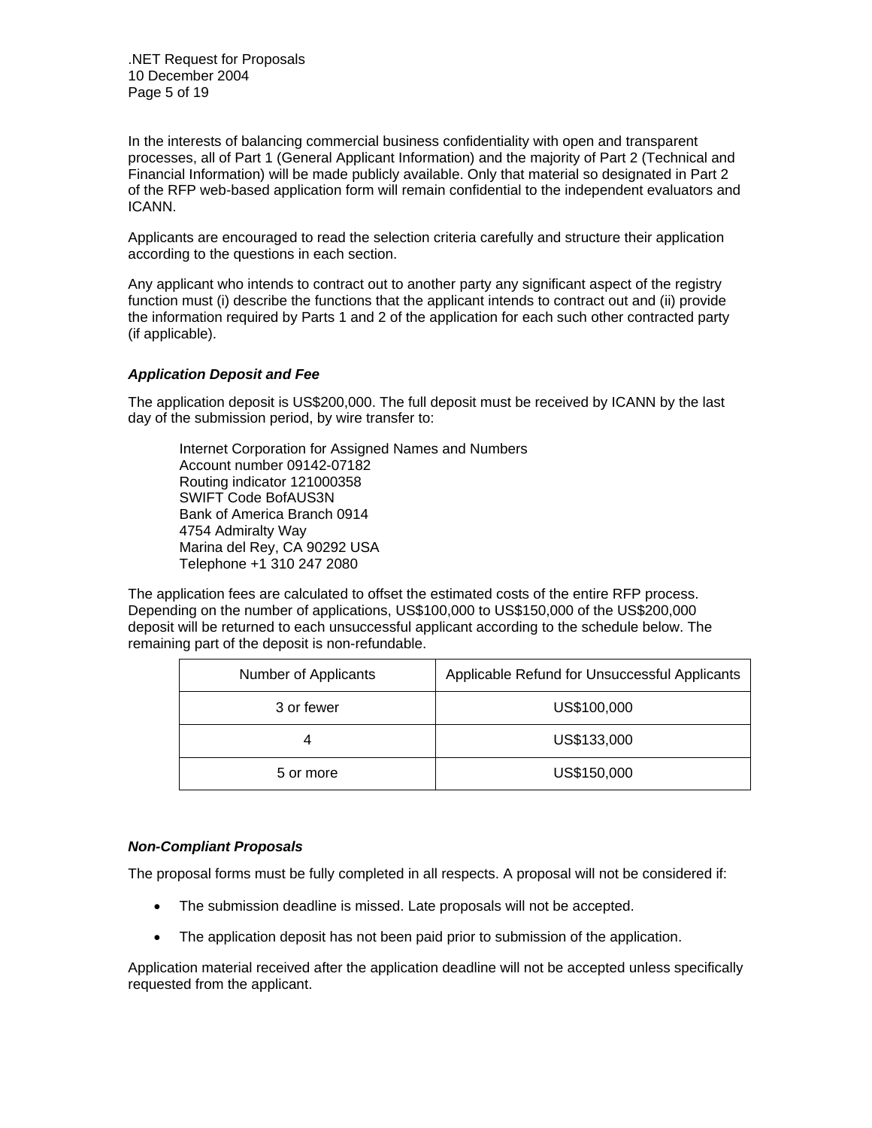.NET Request for Proposals 10 December 2004 Page 5 of 19

In the interests of balancing commercial business confidentiality with open and transparent processes, all of Part 1 (General Applicant Information) and the majority of Part 2 (Technical and Financial Information) will be made publicly available. Only that material so designated in Part 2 of the RFP web-based application form will remain confidential to the independent evaluators and ICANN.

Applicants are encouraged to read the selection criteria carefully and structure their application according to the questions in each section.

Any applicant who intends to contract out to another party any significant aspect of the registry function must (i) describe the functions that the applicant intends to contract out and (ii) provide the information required by Parts 1 and 2 of the application for each such other contracted party (if applicable).

# *Application Deposit and Fee*

The application deposit is US\$200,000. The full deposit must be received by ICANN by the last day of the submission period, by wire transfer to:

Internet Corporation for Assigned Names and Numbers Account number 09142-07182 Routing indicator 121000358 SWIFT Code BofAUS3N Bank of America Branch 0914 4754 Admiralty Way Marina del Rey, CA 90292 USA Telephone +1 310 247 2080

The application fees are calculated to offset the estimated costs of the entire RFP process. Depending on the number of applications, US\$100,000 to US\$150,000 of the US\$200,000 deposit will be returned to each unsuccessful applicant according to the schedule below. The remaining part of the deposit is non-refundable.

| Number of Applicants | Applicable Refund for Unsuccessful Applicants |
|----------------------|-----------------------------------------------|
| 3 or fewer           | US\$100,000                                   |
|                      | US\$133,000                                   |
| 5 or more            | US\$150,000                                   |

## *Non-Compliant Proposals*

The proposal forms must be fully completed in all respects. A proposal will not be considered if:

- The submission deadline is missed. Late proposals will not be accepted.
- The application deposit has not been paid prior to submission of the application.

Application material received after the application deadline will not be accepted unless specifically requested from the applicant.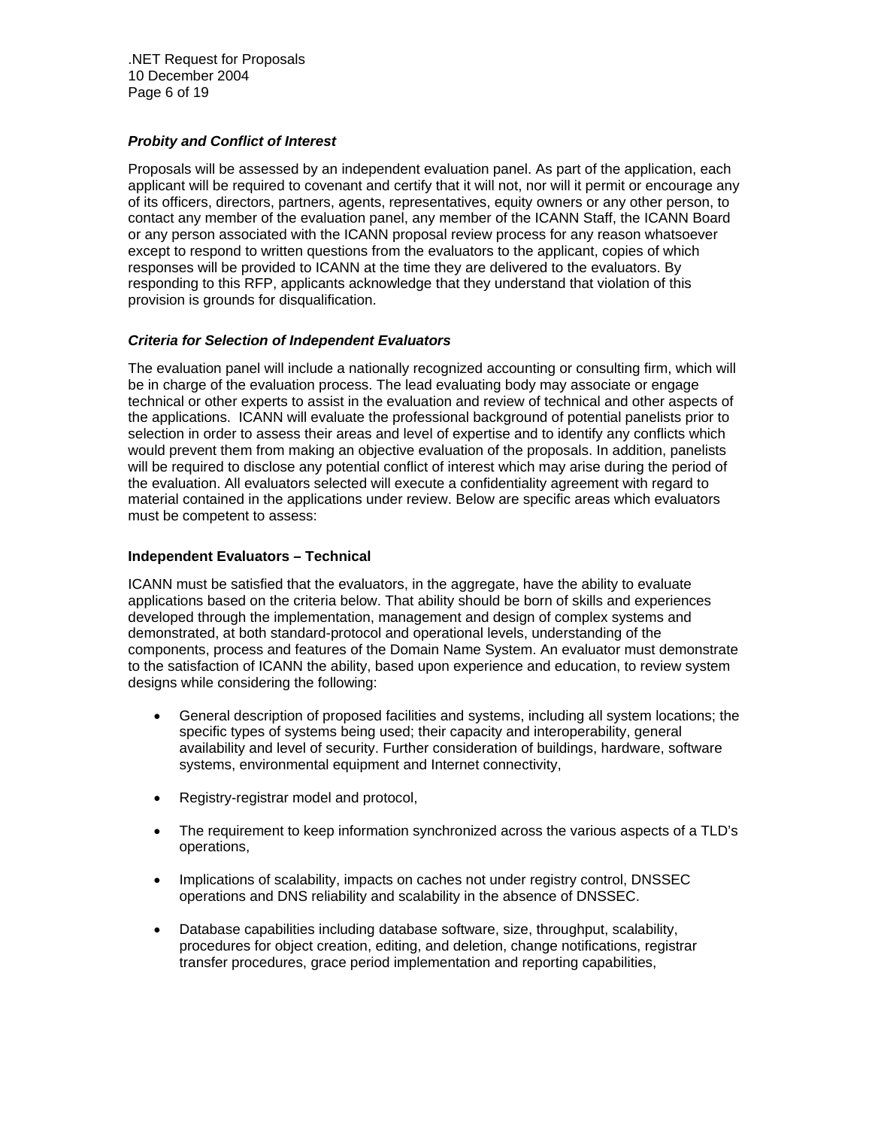.NET Request for Proposals 10 December 2004 Page 6 of 19

## *Probity and Conflict of Interest*

Proposals will be assessed by an independent evaluation panel. As part of the application, each applicant will be required to covenant and certify that it will not, nor will it permit or encourage any of its officers, directors, partners, agents, representatives, equity owners or any other person, to contact any member of the evaluation panel, any member of the ICANN Staff, the ICANN Board or any person associated with the ICANN proposal review process for any reason whatsoever except to respond to written questions from the evaluators to the applicant, copies of which responses will be provided to ICANN at the time they are delivered to the evaluators. By responding to this RFP, applicants acknowledge that they understand that violation of this provision is grounds for disqualification.

# *Criteria for Selection of Independent Evaluators*

The evaluation panel will include a nationally recognized accounting or consulting firm, which will be in charge of the evaluation process. The lead evaluating body may associate or engage technical or other experts to assist in the evaluation and review of technical and other aspects of the applications. ICANN will evaluate the professional background of potential panelists prior to selection in order to assess their areas and level of expertise and to identify any conflicts which would prevent them from making an objective evaluation of the proposals. In addition, panelists will be required to disclose any potential conflict of interest which may arise during the period of the evaluation. All evaluators selected will execute a confidentiality agreement with regard to material contained in the applications under review. Below are specific areas which evaluators must be competent to assess:

## **Independent Evaluators – Technical**

ICANN must be satisfied that the evaluators, in the aggregate, have the ability to evaluate applications based on the criteria below. That ability should be born of skills and experiences developed through the implementation, management and design of complex systems and demonstrated, at both standard-protocol and operational levels, understanding of the components, process and features of the Domain Name System. An evaluator must demonstrate to the satisfaction of ICANN the ability, based upon experience and education, to review system designs while considering the following:

- General description of proposed facilities and systems, including all system locations; the specific types of systems being used; their capacity and interoperability, general availability and level of security. Further consideration of buildings, hardware, software systems, environmental equipment and Internet connectivity,
- Registry-registrar model and protocol,
- The requirement to keep information synchronized across the various aspects of a TLD's operations,
- Implications of scalability, impacts on caches not under registry control, DNSSEC operations and DNS reliability and scalability in the absence of DNSSEC.
- Database capabilities including database software, size, throughput, scalability, procedures for object creation, editing, and deletion, change notifications, registrar transfer procedures, grace period implementation and reporting capabilities,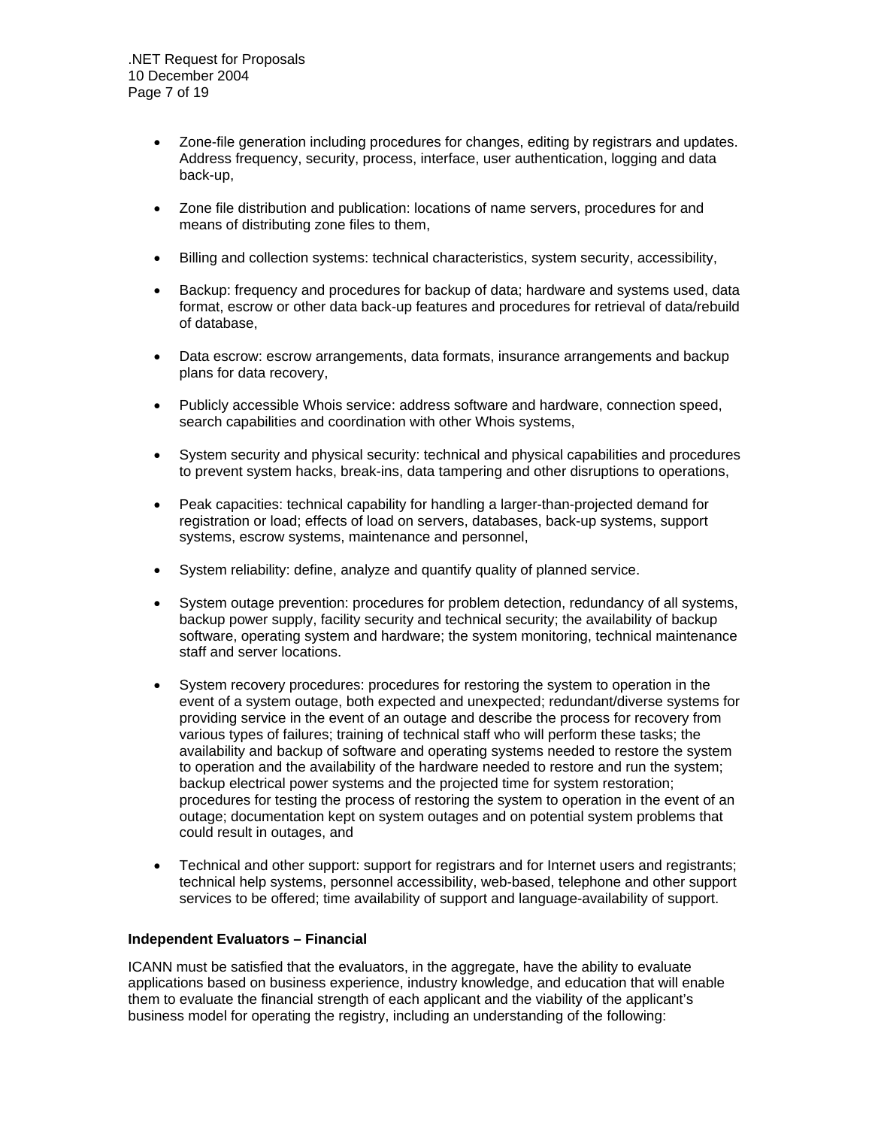- Zone-file generation including procedures for changes, editing by registrars and updates. Address frequency, security, process, interface, user authentication, logging and data back-up,
- Zone file distribution and publication: locations of name servers, procedures for and means of distributing zone files to them,
- Billing and collection systems: technical characteristics, system security, accessibility,
- Backup: frequency and procedures for backup of data; hardware and systems used, data format, escrow or other data back-up features and procedures for retrieval of data/rebuild of database,
- Data escrow: escrow arrangements, data formats, insurance arrangements and backup plans for data recovery,
- Publicly accessible Whois service: address software and hardware, connection speed, search capabilities and coordination with other Whois systems,
- System security and physical security: technical and physical capabilities and procedures to prevent system hacks, break-ins, data tampering and other disruptions to operations,
- Peak capacities: technical capability for handling a larger-than-projected demand for registration or load; effects of load on servers, databases, back-up systems, support systems, escrow systems, maintenance and personnel,
- System reliability: define, analyze and quantify quality of planned service.
- System outage prevention: procedures for problem detection, redundancy of all systems, backup power supply, facility security and technical security; the availability of backup software, operating system and hardware; the system monitoring, technical maintenance staff and server locations.
- System recovery procedures: procedures for restoring the system to operation in the event of a system outage, both expected and unexpected; redundant/diverse systems for providing service in the event of an outage and describe the process for recovery from various types of failures; training of technical staff who will perform these tasks; the availability and backup of software and operating systems needed to restore the system to operation and the availability of the hardware needed to restore and run the system; backup electrical power systems and the projected time for system restoration; procedures for testing the process of restoring the system to operation in the event of an outage; documentation kept on system outages and on potential system problems that could result in outages, and
- Technical and other support: support for registrars and for Internet users and registrants; technical help systems, personnel accessibility, web-based, telephone and other support services to be offered; time availability of support and language-availability of support.

## **Independent Evaluators – Financial**

ICANN must be satisfied that the evaluators, in the aggregate, have the ability to evaluate applications based on business experience, industry knowledge, and education that will enable them to evaluate the financial strength of each applicant and the viability of the applicant's business model for operating the registry, including an understanding of the following: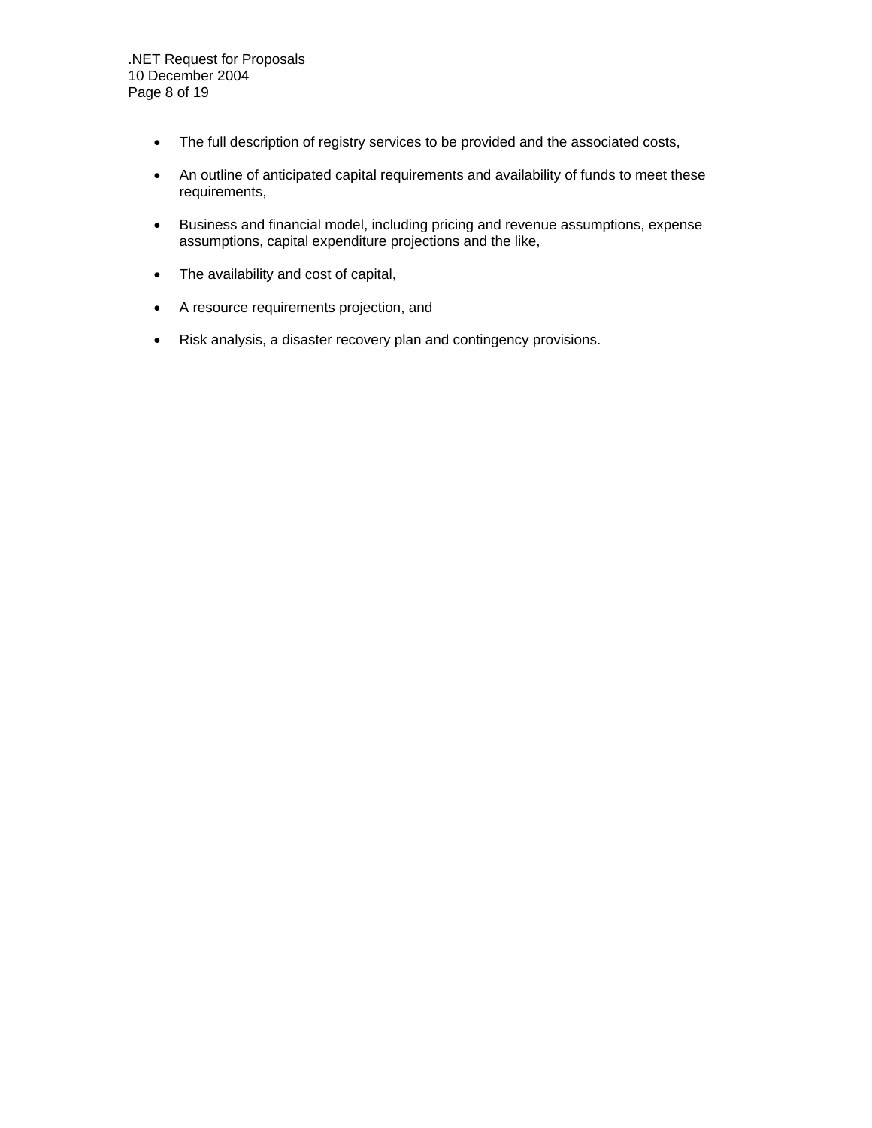- The full description of registry services to be provided and the associated costs,
- An outline of anticipated capital requirements and availability of funds to meet these requirements,
- Business and financial model, including pricing and revenue assumptions, expense assumptions, capital expenditure projections and the like,
- The availability and cost of capital,
- A resource requirements projection, and
- Risk analysis, a disaster recovery plan and contingency provisions.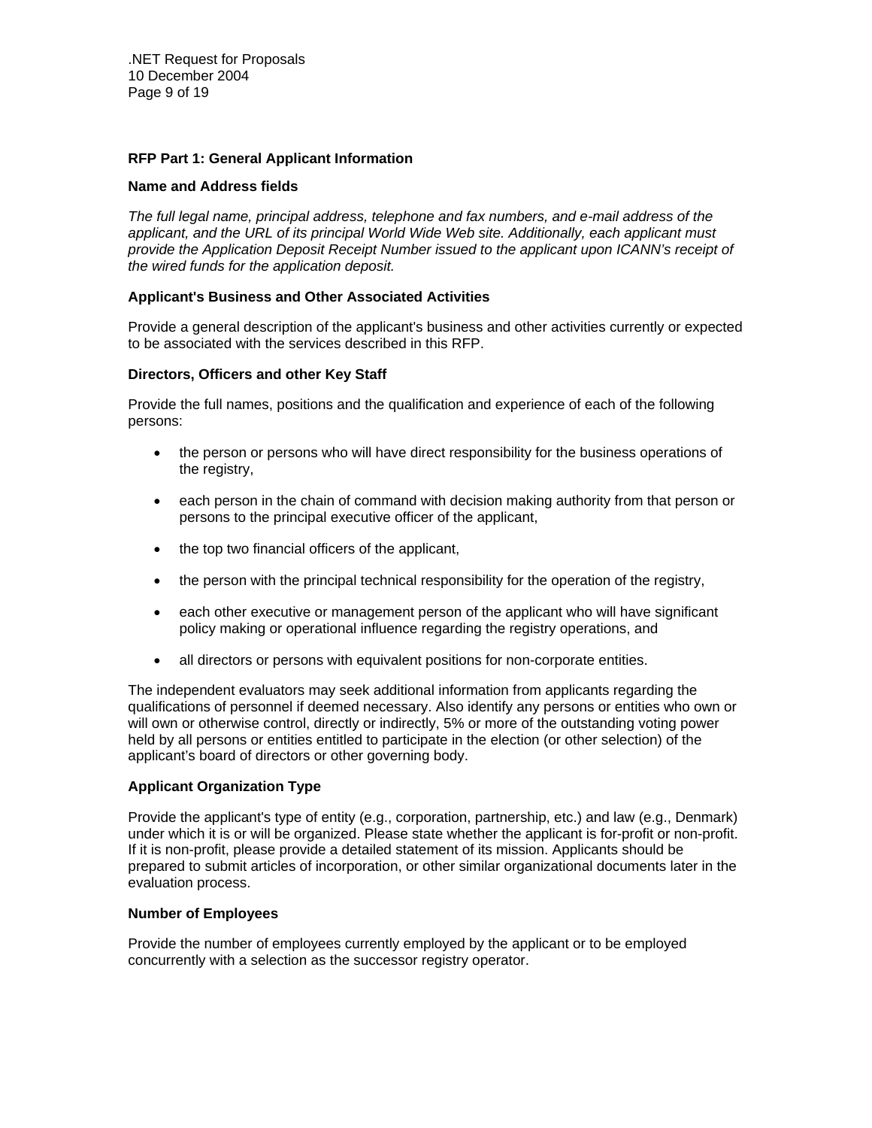.NET Request for Proposals 10 December 2004 Page 9 of 19

## **RFP Part 1: General Applicant Information**

#### **Name and Address fields**

*The full legal name, principal address, telephone and fax numbers, and e-mail address of the applicant, and the URL of its principal World Wide Web site. Additionally, each applicant must provide the Application Deposit Receipt Number issued to the applicant upon ICANN's receipt of the wired funds for the application deposit.* 

#### **Applicant's Business and Other Associated Activities**

Provide a general description of the applicant's business and other activities currently or expected to be associated with the services described in this RFP.

#### **Directors, Officers and other Key Staff**

Provide the full names, positions and the qualification and experience of each of the following persons:

- the person or persons who will have direct responsibility for the business operations of the registry,
- each person in the chain of command with decision making authority from that person or persons to the principal executive officer of the applicant,
- the top two financial officers of the applicant,
- the person with the principal technical responsibility for the operation of the registry,
- each other executive or management person of the applicant who will have significant policy making or operational influence regarding the registry operations, and
- all directors or persons with equivalent positions for non-corporate entities.

The independent evaluators may seek additional information from applicants regarding the qualifications of personnel if deemed necessary. Also identify any persons or entities who own or will own or otherwise control, directly or indirectly, 5% or more of the outstanding voting power held by all persons or entities entitled to participate in the election (or other selection) of the applicant's board of directors or other governing body.

#### **Applicant Organization Type**

Provide the applicant's type of entity (e.g., corporation, partnership, etc.) and law (e.g., Denmark) under which it is or will be organized. Please state whether the applicant is for-profit or non-profit. If it is non-profit, please provide a detailed statement of its mission. Applicants should be prepared to submit articles of incorporation, or other similar organizational documents later in the evaluation process.

#### **Number of Employees**

Provide the number of employees currently employed by the applicant or to be employed concurrently with a selection as the successor registry operator.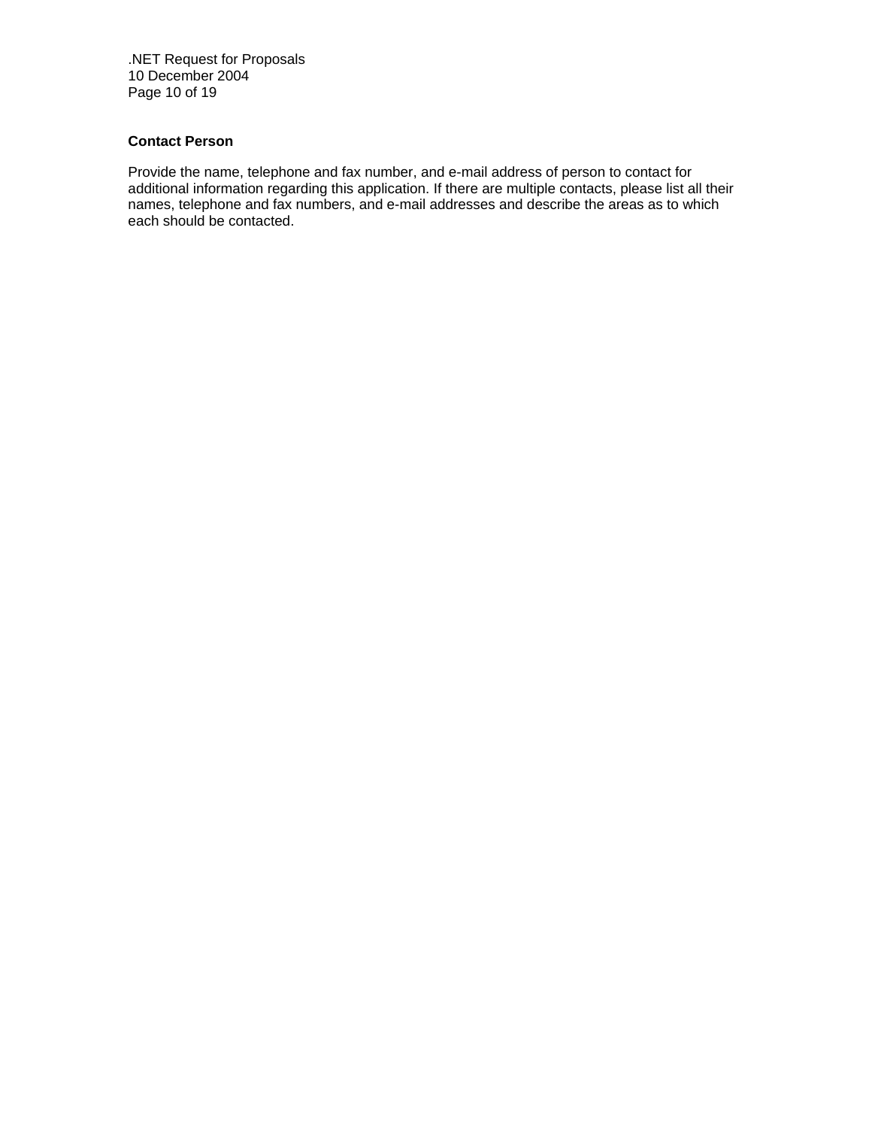.NET Request for Proposals 10 December 2004 Page 10 of 19

# **Contact Person**

Provide the name, telephone and fax number, and e-mail address of person to contact for additional information regarding this application. If there are multiple contacts, please list all their names, telephone and fax numbers, and e-mail addresses and describe the areas as to which each should be contacted.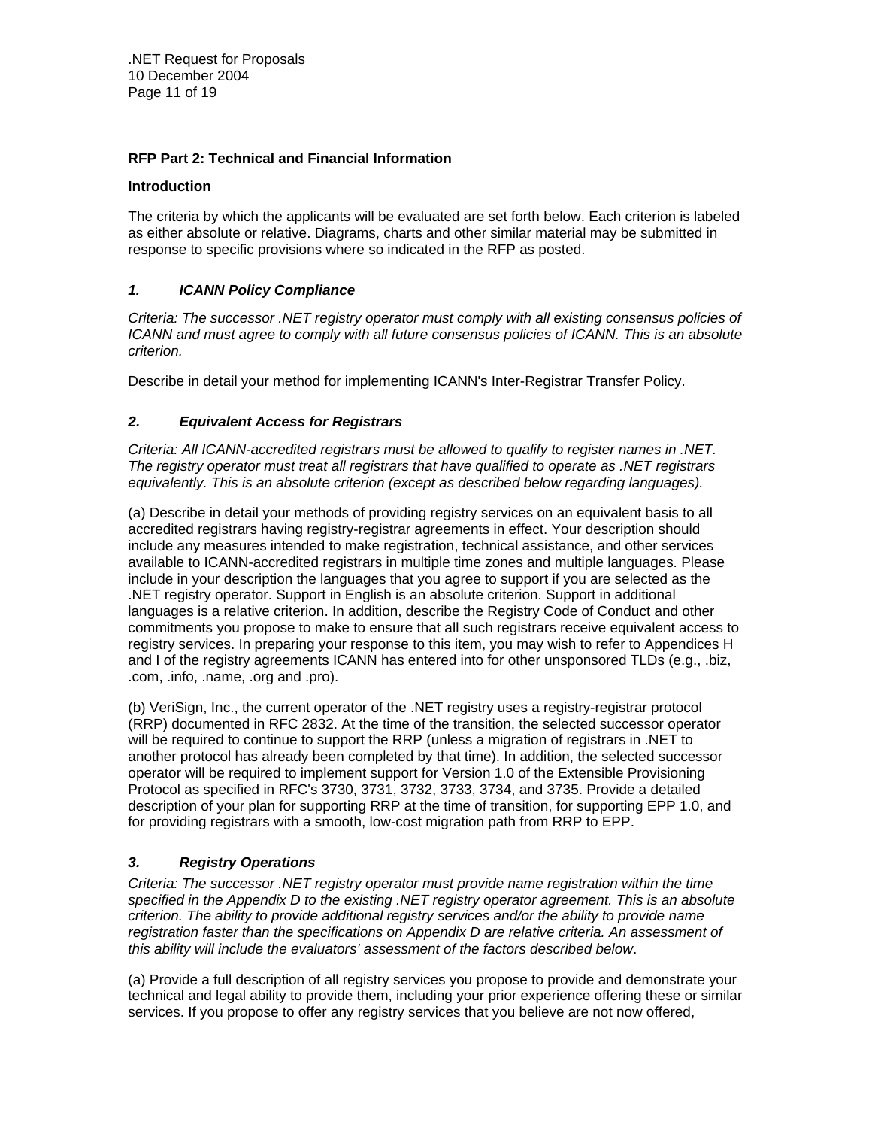.NET Request for Proposals 10 December 2004 Page 11 of 19

# **RFP Part 2: Technical and Financial Information**

## **Introduction**

The criteria by which the applicants will be evaluated are set forth below. Each criterion is labeled as either absolute or relative. Diagrams, charts and other similar material may be submitted in response to specific provisions where so indicated in the RFP as posted.

# *1. ICANN Policy Compliance*

*Criteria: The successor .NET registry operator must comply with all existing consensus policies of ICANN and must agree to comply with all future consensus policies of ICANN. This is an absolute criterion.* 

Describe in detail your method for implementing ICANN's Inter-Registrar Transfer Policy.

# *2. Equivalent Access for Registrars*

*Criteria: All ICANN-accredited registrars must be allowed to qualify to register names in .NET. The registry operator must treat all registrars that have qualified to operate as .NET registrars equivalently. This is an absolute criterion (except as described below regarding languages).* 

(a) Describe in detail your methods of providing registry services on an equivalent basis to all accredited registrars having registry-registrar agreements in effect. Your description should include any measures intended to make registration, technical assistance, and other services available to ICANN-accredited registrars in multiple time zones and multiple languages. Please include in your description the languages that you agree to support if you are selected as the .NET registry operator. Support in English is an absolute criterion. Support in additional languages is a relative criterion. In addition, describe the Registry Code of Conduct and other commitments you propose to make to ensure that all such registrars receive equivalent access to registry services. In preparing your response to this item, you may wish to refer to Appendices H and I of the registry agreements ICANN has entered into for other unsponsored TLDs (e.g., .biz, .com, .info, .name, .org and .pro).

(b) VeriSign, Inc., the current operator of the .NET registry uses a registry-registrar protocol (RRP) documented in RFC 2832. At the time of the transition, the selected successor operator will be required to continue to support the RRP (unless a migration of registrars in .NET to another protocol has already been completed by that time). In addition, the selected successor operator will be required to implement support for Version 1.0 of the Extensible Provisioning Protocol as specified in RFC's 3730, 3731, 3732, 3733, 3734, and 3735. Provide a detailed description of your plan for supporting RRP at the time of transition, for supporting EPP 1.0, and for providing registrars with a smooth, low-cost migration path from RRP to EPP.

# *3. Registry Operations*

*Criteria: The successor .NET registry operator must provide name registration within the time specified in the Appendix D to the existing .NET registry operator agreement. This is an absolute criterion. The ability to provide additional registry services and/or the ability to provide name registration faster than the specifications on Appendix D are relative criteria. An assessment of this ability will include the evaluators' assessment of the factors described below*.

(a) Provide a full description of all registry services you propose to provide and demonstrate your technical and legal ability to provide them, including your prior experience offering these or similar services. If you propose to offer any registry services that you believe are not now offered,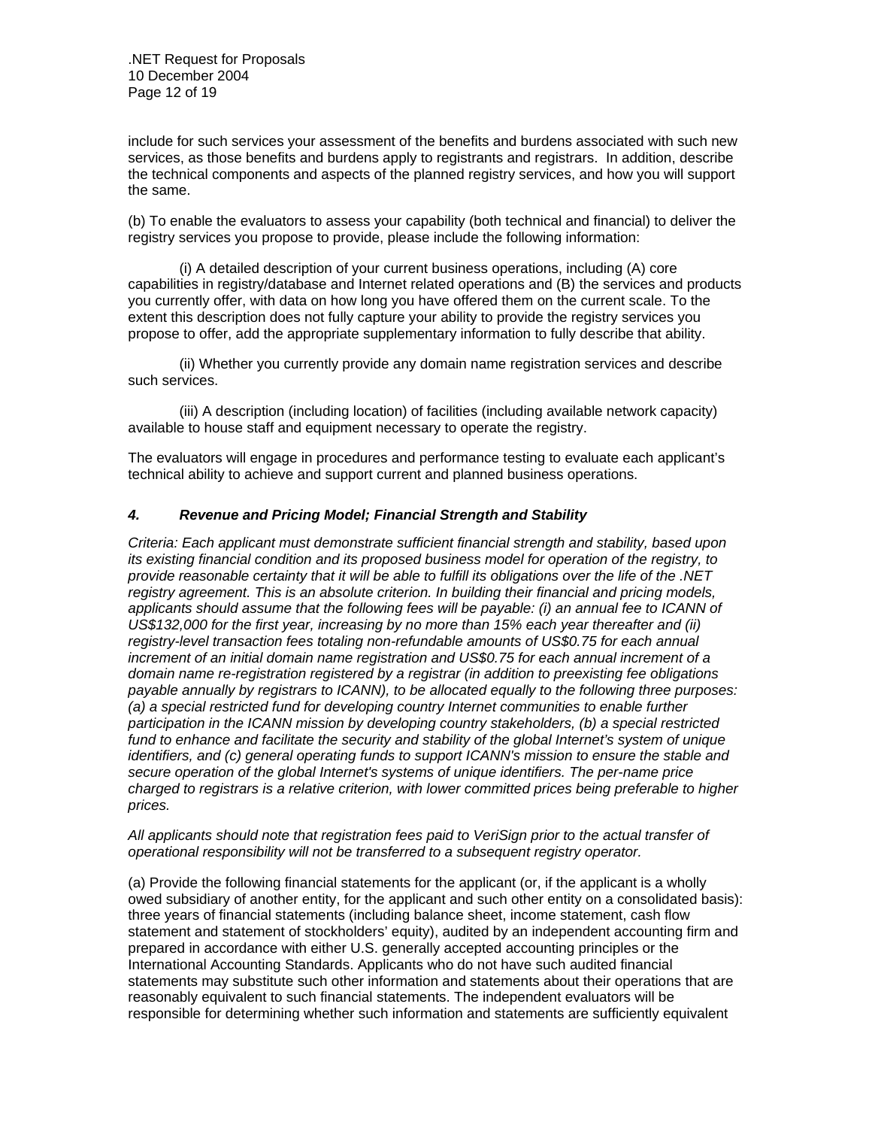include for such services your assessment of the benefits and burdens associated with such new services, as those benefits and burdens apply to registrants and registrars. In addition, describe the technical components and aspects of the planned registry services, and how you will support the same.

(b) To enable the evaluators to assess your capability (both technical and financial) to deliver the registry services you propose to provide, please include the following information:

 (i) A detailed description of your current business operations, including (A) core capabilities in registry/database and Internet related operations and (B) the services and products you currently offer, with data on how long you have offered them on the current scale. To the extent this description does not fully capture your ability to provide the registry services you propose to offer, add the appropriate supplementary information to fully describe that ability.

 (ii) Whether you currently provide any domain name registration services and describe such services.

 (iii) A description (including location) of facilities (including available network capacity) available to house staff and equipment necessary to operate the registry.

The evaluators will engage in procedures and performance testing to evaluate each applicant's technical ability to achieve and support current and planned business operations.

# *4. Revenue and Pricing Model; Financial Strength and Stability*

*Criteria: Each applicant must demonstrate sufficient financial strength and stability, based upon its existing financial condition and its proposed business model for operation of the registry, to provide reasonable certainty that it will be able to fulfill its obligations over the life of the .NET registry agreement. This is an absolute criterion. In building their financial and pricing models, applicants should assume that the following fees will be payable: (i) an annual fee to ICANN of US\$132,000 for the first year, increasing by no more than 15% each year thereafter and (ii) registry-level transaction fees totaling non-refundable amounts of US\$0.75 for each annual increment of an initial domain name registration and US\$0.75 for each annual increment of a domain name re-registration registered by a registrar (in addition to preexisting fee obligations payable annually by registrars to ICANN), to be allocated equally to the following three purposes: (a) a special restricted fund for developing country Internet communities to enable further participation in the ICANN mission by developing country stakeholders, (b) a special restricted fund to enhance and facilitate the security and stability of the global Internet's system of unique identifiers, and (c) general operating funds to support ICANN's mission to ensure the stable and secure operation of the global Internet's systems of unique identifiers. The per-name price charged to registrars is a relative criterion, with lower committed prices being preferable to higher prices.* 

#### *All applicants should note that registration fees paid to VeriSign prior to the actual transfer of operational responsibility will not be transferred to a subsequent registry operator.*

(a) Provide the following financial statements for the applicant (or, if the applicant is a wholly owed subsidiary of another entity, for the applicant and such other entity on a consolidated basis): three years of financial statements (including balance sheet, income statement, cash flow statement and statement of stockholders' equity), audited by an independent accounting firm and prepared in accordance with either U.S. generally accepted accounting principles or the International Accounting Standards. Applicants who do not have such audited financial statements may substitute such other information and statements about their operations that are reasonably equivalent to such financial statements. The independent evaluators will be responsible for determining whether such information and statements are sufficiently equivalent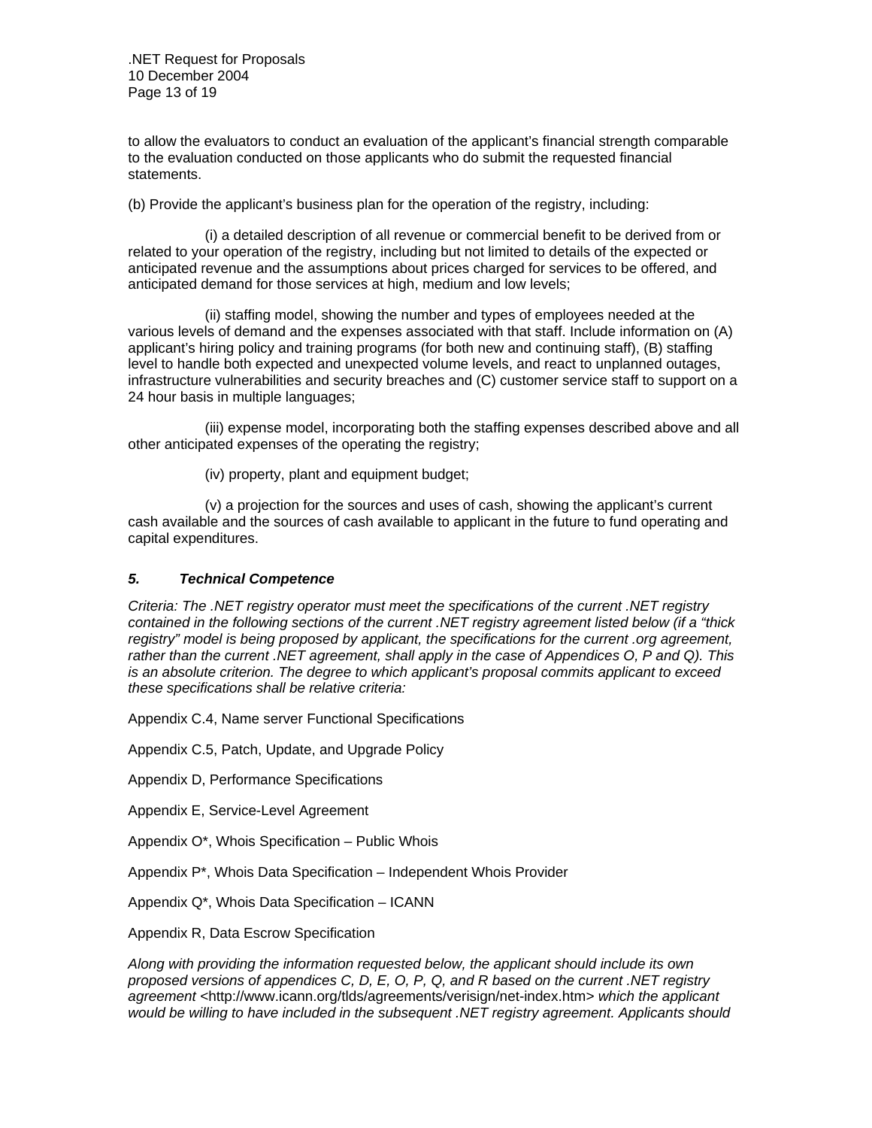.NET Request for Proposals 10 December 2004 Page 13 of 19

to allow the evaluators to conduct an evaluation of the applicant's financial strength comparable to the evaluation conducted on those applicants who do submit the requested financial statements.

(b) Provide the applicant's business plan for the operation of the registry, including:

 (i) a detailed description of all revenue or commercial benefit to be derived from or related to your operation of the registry, including but not limited to details of the expected or anticipated revenue and the assumptions about prices charged for services to be offered, and anticipated demand for those services at high, medium and low levels;

 (ii) staffing model, showing the number and types of employees needed at the various levels of demand and the expenses associated with that staff. Include information on (A) applicant's hiring policy and training programs (for both new and continuing staff), (B) staffing level to handle both expected and unexpected volume levels, and react to unplanned outages, infrastructure vulnerabilities and security breaches and (C) customer service staff to support on a 24 hour basis in multiple languages;

 (iii) expense model, incorporating both the staffing expenses described above and all other anticipated expenses of the operating the registry;

(iv) property, plant and equipment budget;

 (v) a projection for the sources and uses of cash, showing the applicant's current cash available and the sources of cash available to applicant in the future to fund operating and capital expenditures.

# *5. Technical Competence*

*Criteria: The .NET registry operator must meet the specifications of the current .NET registry contained in the following sections of the current .NET registry agreement listed below (if a "thick registry" model is being proposed by applicant, the specifications for the current .org agreement, rather than the current .NET agreement, shall apply in the case of Appendices O, P and Q). This is an absolute criterion. The degree to which applicant's proposal commits applicant to exceed these specifications shall be relative criteria:* 

Appendix C.4, Name server Functional Specifications

Appendix C.5, Patch, Update, and Upgrade Policy

Appendix D, Performance Specifications

Appendix E, Service-Level Agreement

Appendix O\*, Whois Specification – Public Whois

Appendix P\*, Whois Data Specification – Independent Whois Provider

Appendix Q\*, Whois Data Specification – ICANN

Appendix R, Data Escrow Specification

*Along with providing the information requested below, the applicant should include its own proposed versions of appendices C, D, E, O, P, Q, and R based on the current .NET registry agreement <*http://www.icann.org/tlds/agreements/verisign/net-index.htm*> which the applicant would be willing to have included in the subsequent .NET registry agreement. Applicants should*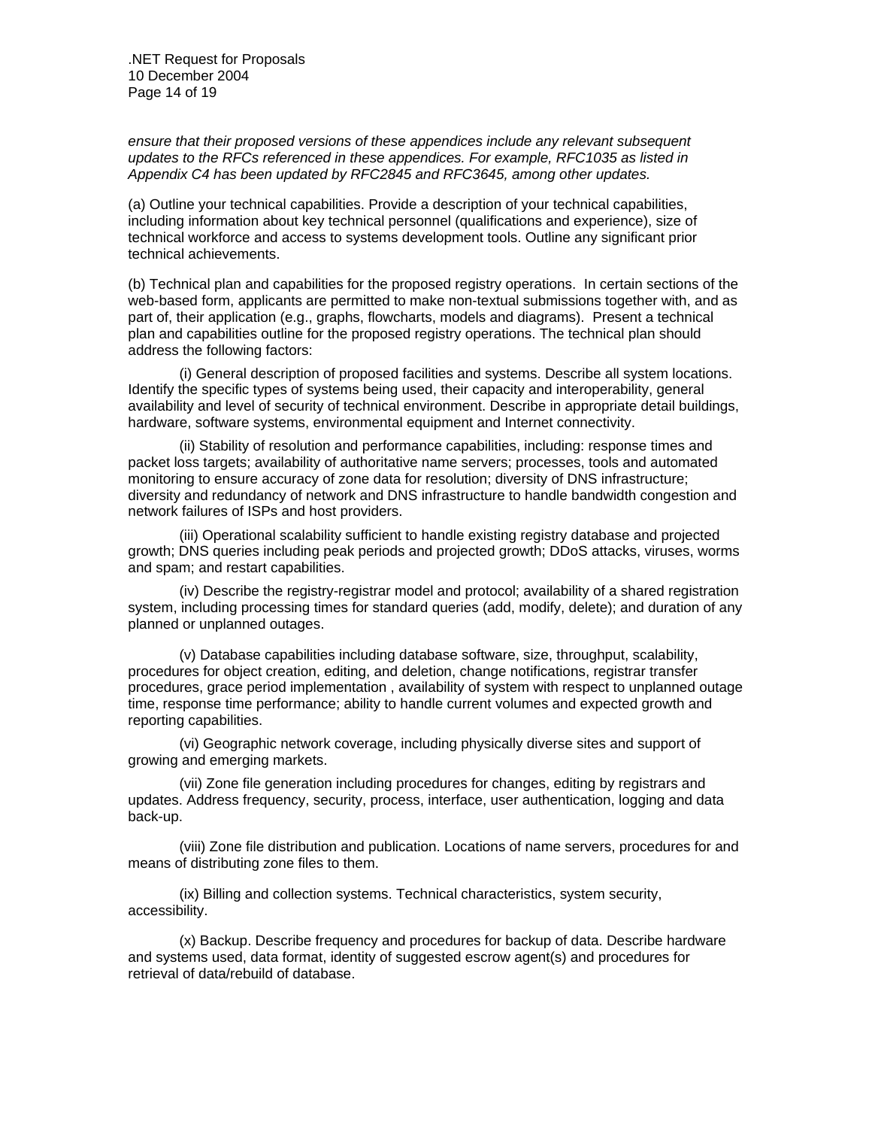*ensure that their proposed versions of these appendices include any relevant subsequent updates to the RFCs referenced in these appendices. For example, RFC1035 as listed in Appendix C4 has been updated by RFC2845 and RFC3645, among other updates.* 

(a) Outline your technical capabilities. Provide a description of your technical capabilities, including information about key technical personnel (qualifications and experience), size of technical workforce and access to systems development tools. Outline any significant prior technical achievements.

(b) Technical plan and capabilities for the proposed registry operations. In certain sections of the web-based form, applicants are permitted to make non-textual submissions together with, and as part of, their application (e.g., graphs, flowcharts, models and diagrams).Present a technical plan and capabilities outline for the proposed registry operations. The technical plan should address the following factors:

 (i) General description of proposed facilities and systems. Describe all system locations. Identify the specific types of systems being used, their capacity and interoperability, general availability and level of security of technical environment. Describe in appropriate detail buildings, hardware, software systems, environmental equipment and Internet connectivity.

 (ii) Stability of resolution and performance capabilities, including: response times and packet loss targets; availability of authoritative name servers; processes, tools and automated monitoring to ensure accuracy of zone data for resolution; diversity of DNS infrastructure; diversity and redundancy of network and DNS infrastructure to handle bandwidth congestion and network failures of ISPs and host providers.

 (iii) Operational scalability sufficient to handle existing registry database and projected growth; DNS queries including peak periods and projected growth; DDoS attacks, viruses, worms and spam; and restart capabilities.

 (iv) Describe the registry-registrar model and protocol; availability of a shared registration system, including processing times for standard queries (add, modify, delete); and duration of any planned or unplanned outages.

 (v) Database capabilities including database software, size, throughput, scalability, procedures for object creation, editing, and deletion, change notifications, registrar transfer procedures, grace period implementation , availability of system with respect to unplanned outage time, response time performance; ability to handle current volumes and expected growth and reporting capabilities.

 (vi) Geographic network coverage, including physically diverse sites and support of growing and emerging markets.

 (vii) Zone file generation including procedures for changes, editing by registrars and updates. Address frequency, security, process, interface, user authentication, logging and data back-up.

 (viii) Zone file distribution and publication. Locations of name servers, procedures for and means of distributing zone files to them.

 (ix) Billing and collection systems. Technical characteristics, system security, accessibility.

 (x) Backup. Describe frequency and procedures for backup of data. Describe hardware and systems used, data format, identity of suggested escrow agent(s) and procedures for retrieval of data/rebuild of database.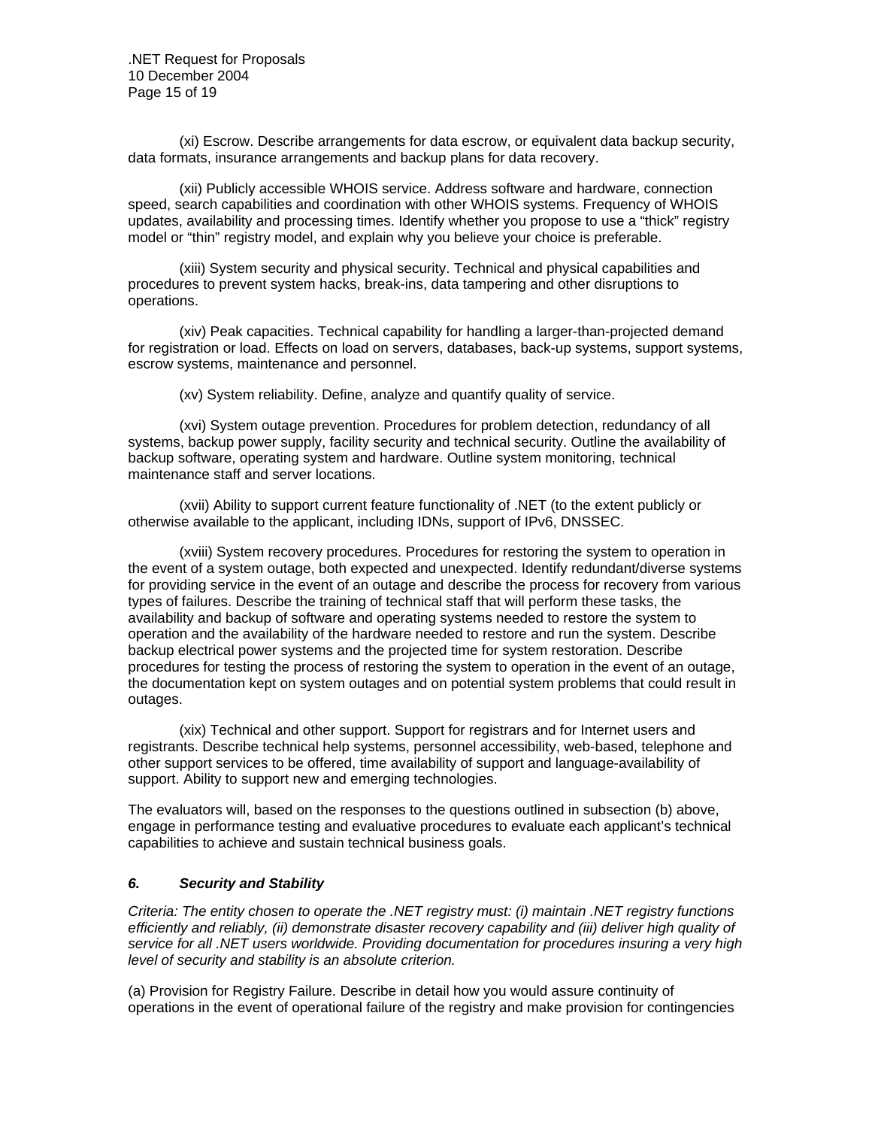.NET Request for Proposals 10 December 2004 Page 15 of 19

 (xi) Escrow. Describe arrangements for data escrow, or equivalent data backup security, data formats, insurance arrangements and backup plans for data recovery.

 (xii) Publicly accessible WHOIS service. Address software and hardware, connection speed, search capabilities and coordination with other WHOIS systems. Frequency of WHOIS updates, availability and processing times. Identify whether you propose to use a "thick" registry model or "thin" registry model, and explain why you believe your choice is preferable.

 (xiii) System security and physical security. Technical and physical capabilities and procedures to prevent system hacks, break-ins, data tampering and other disruptions to operations.

 (xiv) Peak capacities. Technical capability for handling a larger-than-projected demand for registration or load. Effects on load on servers, databases, back-up systems, support systems, escrow systems, maintenance and personnel.

(xv) System reliability. Define, analyze and quantify quality of service.

 (xvi) System outage prevention. Procedures for problem detection, redundancy of all systems, backup power supply, facility security and technical security. Outline the availability of backup software, operating system and hardware. Outline system monitoring, technical maintenance staff and server locations.

 (xvii) Ability to support current feature functionality of .NET (to the extent publicly or otherwise available to the applicant, including IDNs, support of IPv6, DNSSEC.

 (xviii) System recovery procedures. Procedures for restoring the system to operation in the event of a system outage, both expected and unexpected. Identify redundant/diverse systems for providing service in the event of an outage and describe the process for recovery from various types of failures. Describe the training of technical staff that will perform these tasks, the availability and backup of software and operating systems needed to restore the system to operation and the availability of the hardware needed to restore and run the system. Describe backup electrical power systems and the projected time for system restoration. Describe procedures for testing the process of restoring the system to operation in the event of an outage, the documentation kept on system outages and on potential system problems that could result in outages.

 (xix) Technical and other support. Support for registrars and for Internet users and registrants. Describe technical help systems, personnel accessibility, web-based, telephone and other support services to be offered, time availability of support and language-availability of support. Ability to support new and emerging technologies.

The evaluators will, based on the responses to the questions outlined in subsection (b) above, engage in performance testing and evaluative procedures to evaluate each applicant's technical capabilities to achieve and sustain technical business goals.

## *6. Security and Stability*

*Criteria: The entity chosen to operate the .NET registry must: (i) maintain .NET registry functions efficiently and reliably, (ii) demonstrate disaster recovery capability and (iii) deliver high quality of service for all .NET users worldwide. Providing documentation for procedures insuring a very high level of security and stability is an absolute criterion.* 

(a) Provision for Registry Failure. Describe in detail how you would assure continuity of operations in the event of operational failure of the registry and make provision for contingencies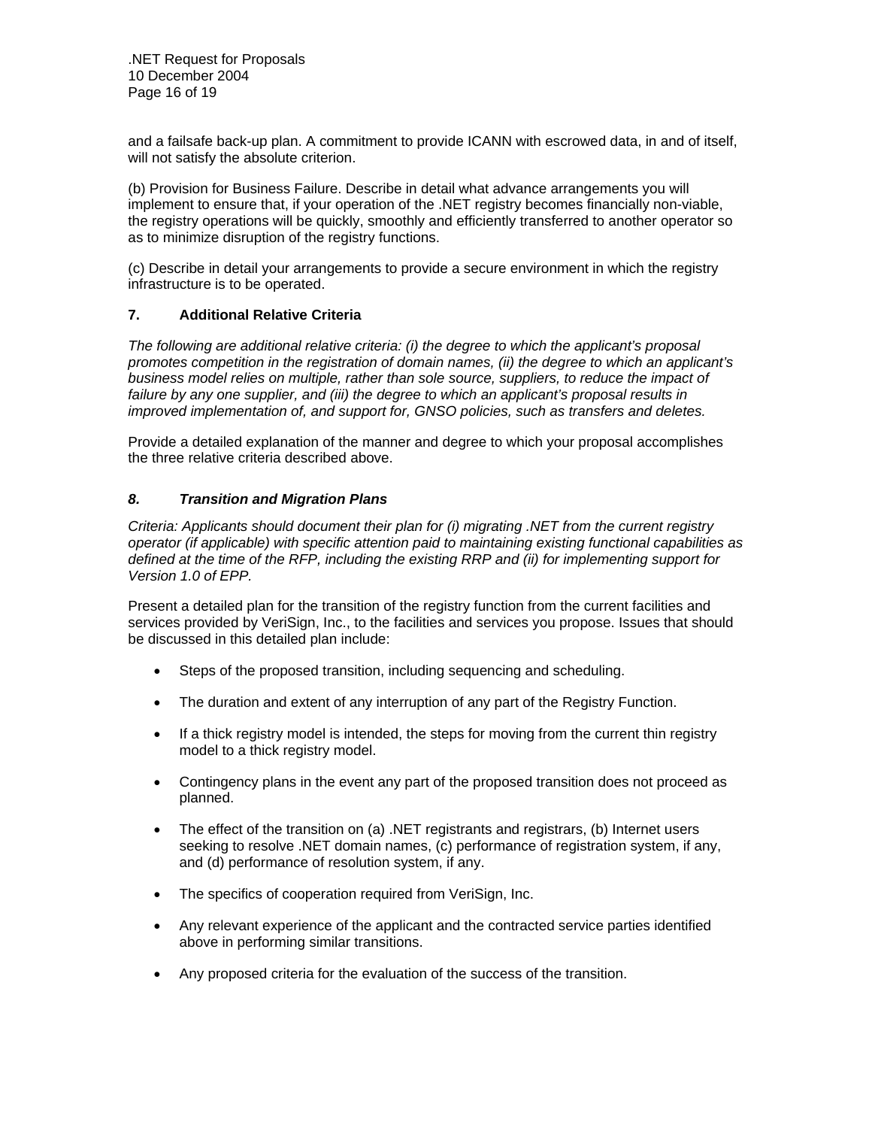and a failsafe back-up plan. A commitment to provide ICANN with escrowed data, in and of itself, will not satisfy the absolute criterion.

(b) Provision for Business Failure. Describe in detail what advance arrangements you will implement to ensure that, if your operation of the .NET registry becomes financially non-viable, the registry operations will be quickly, smoothly and efficiently transferred to another operator so as to minimize disruption of the registry functions.

(c) Describe in detail your arrangements to provide a secure environment in which the registry infrastructure is to be operated.

# **7. Additional Relative Criteria**

*The following are additional relative criteria: (i) the degree to which the applicant's proposal promotes competition in the registration of domain names, (ii) the degree to which an applicant's business model relies on multiple, rather than sole source, suppliers, to reduce the impact of failure by any one supplier, and (iii) the degree to which an applicant's proposal results in improved implementation of, and support for, GNSO policies, such as transfers and deletes.* 

Provide a detailed explanation of the manner and degree to which your proposal accomplishes the three relative criteria described above.

# *8. Transition and Migration Plans*

*Criteria: Applicants should document their plan for (i) migrating .NET from the current registry operator (if applicable) with specific attention paid to maintaining existing functional capabilities as defined at the time of the RFP, including the existing RRP and (ii) for implementing support for Version 1.0 of EPP.* 

Present a detailed plan for the transition of the registry function from the current facilities and services provided by VeriSign, Inc., to the facilities and services you propose. Issues that should be discussed in this detailed plan include:

- Steps of the proposed transition, including sequencing and scheduling.
- The duration and extent of any interruption of any part of the Registry Function.
- If a thick registry model is intended, the steps for moving from the current thin registry model to a thick registry model.
- Contingency plans in the event any part of the proposed transition does not proceed as planned.
- The effect of the transition on (a) .NET registrants and registrars, (b) Internet users seeking to resolve .NET domain names, (c) performance of registration system, if any, and (d) performance of resolution system, if any.
- The specifics of cooperation required from VeriSign, Inc.
- Any relevant experience of the applicant and the contracted service parties identified above in performing similar transitions.
- Any proposed criteria for the evaluation of the success of the transition.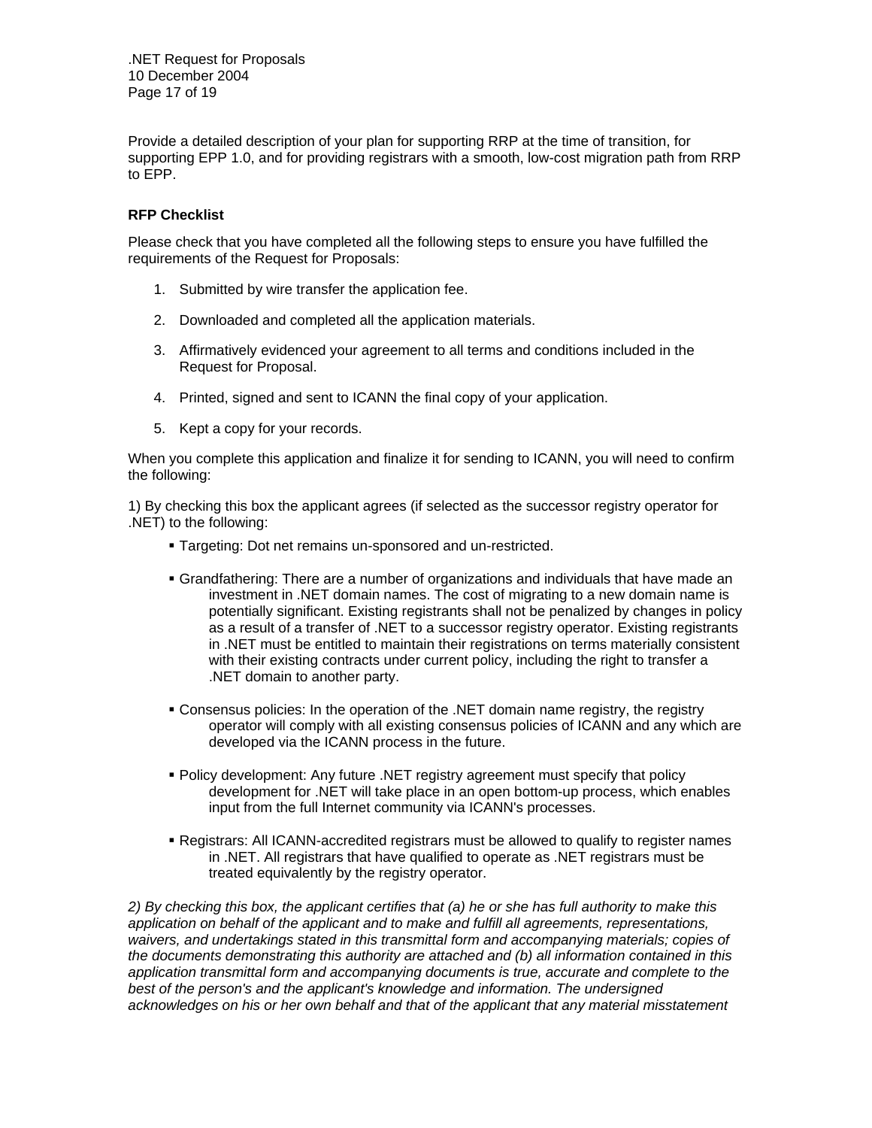.NET Request for Proposals 10 December 2004 Page 17 of 19

Provide a detailed description of your plan for supporting RRP at the time of transition, for supporting EPP 1.0, and for providing registrars with a smooth, low-cost migration path from RRP to EPP.

# **RFP Checklist**

Please check that you have completed all the following steps to ensure you have fulfilled the requirements of the Request for Proposals:

- 1. Submitted by wire transfer the application fee.
- 2. Downloaded and completed all the application materials.
- 3. Affirmatively evidenced your agreement to all terms and conditions included in the Request for Proposal.
- 4. Printed, signed and sent to ICANN the final copy of your application.
- 5. Kept a copy for your records.

When you complete this application and finalize it for sending to ICANN, you will need to confirm the following:

1) By checking this box the applicant agrees (if selected as the successor registry operator for .NET) to the following:

- Targeting: Dot net remains un-sponsored and un-restricted.
- Grandfathering: There are a number of organizations and individuals that have made an investment in .NET domain names. The cost of migrating to a new domain name is potentially significant. Existing registrants shall not be penalized by changes in policy as a result of a transfer of .NET to a successor registry operator. Existing registrants in .NET must be entitled to maintain their registrations on terms materially consistent with their existing contracts under current policy, including the right to transfer a .NET domain to another party.
- Consensus policies: In the operation of the .NET domain name registry, the registry operator will comply with all existing consensus policies of ICANN and any which are developed via the ICANN process in the future.
- Policy development: Any future .NET registry agreement must specify that policy development for .NET will take place in an open bottom-up process, which enables input from the full Internet community via ICANN's processes.
- Registrars: All ICANN-accredited registrars must be allowed to qualify to register names in .NET. All registrars that have qualified to operate as .NET registrars must be treated equivalently by the registry operator.

*2) By checking this box, the applicant certifies that (a) he or she has full authority to make this application on behalf of the applicant and to make and fulfill all agreements, representations, waivers, and undertakings stated in this transmittal form and accompanying materials; copies of the documents demonstrating this authority are attached and (b) all information contained in this application transmittal form and accompanying documents is true, accurate and complete to the best of the person's and the applicant's knowledge and information. The undersigned acknowledges on his or her own behalf and that of the applicant that any material misstatement*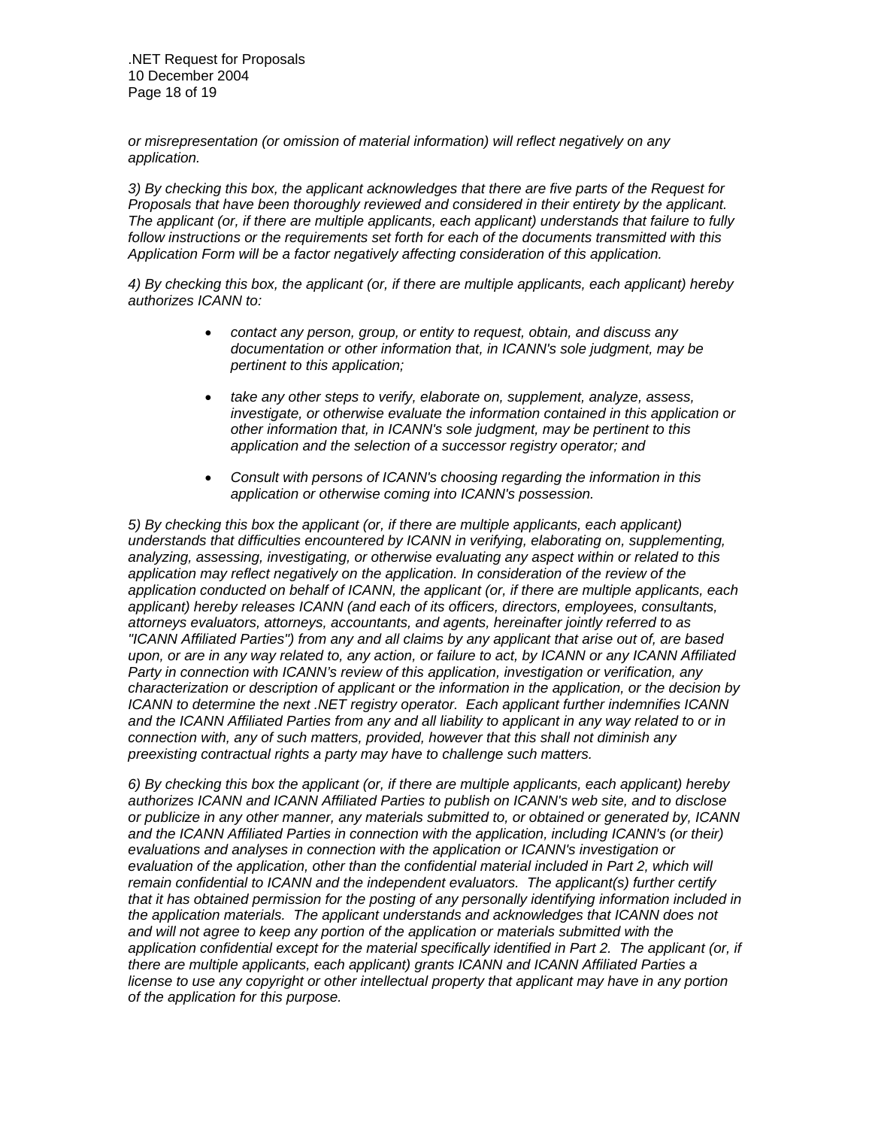.NET Request for Proposals 10 December 2004 Page 18 of 19

*or misrepresentation (or omission of material information) will reflect negatively on any application.*

*3) By checking this box, the applicant acknowledges that there are five parts of the Request for Proposals that have been thoroughly reviewed and considered in their entirety by the applicant. The applicant (or, if there are multiple applicants, each applicant) understands that failure to fully follow instructions or the requirements set forth for each of the documents transmitted with this Application Form will be a factor negatively affecting consideration of this application.*

*4) By checking this box, the applicant (or, if there are multiple applicants, each applicant) hereby authorizes ICANN to:* 

- *contact any person, group, or entity to request, obtain, and discuss any documentation or other information that, in ICANN's sole judgment, may be pertinent to this application;*
- *take any other steps to verify, elaborate on, supplement, analyze, assess, investigate, or otherwise evaluate the information contained in this application or other information that, in ICANN's sole judgment, may be pertinent to this application and the selection of a successor registry operator; and*
- *Consult with persons of ICANN's choosing regarding the information in this application or otherwise coming into ICANN's possession.*

*5) By checking this box the applicant (or, if there are multiple applicants, each applicant) understands that difficulties encountered by ICANN in verifying, elaborating on, supplementing, analyzing, assessing, investigating, or otherwise evaluating any aspect within or related to this application may reflect negatively on the application. In consideration of the review of the application conducted on behalf of ICANN, the applicant (or, if there are multiple applicants, each applicant) hereby releases ICANN (and each of its officers, directors, employees, consultants, attorneys evaluators, attorneys, accountants, and agents, hereinafter jointly referred to as "ICANN Affiliated Parties") from any and all claims by any applicant that arise out of, are based upon, or are in any way related to, any action, or failure to act, by ICANN or any ICANN Affiliated Party in connection with ICANN's review of this application, investigation or verification, any characterization or description of applicant or the information in the application, or the decision by ICANN to determine the next .NET registry operator. Each applicant further indemnifies ICANN and the ICANN Affiliated Parties from any and all liability to applicant in any way related to or in connection with, any of such matters, provided, however that this shall not diminish any preexisting contractual rights a party may have to challenge such matters.*

*6) By checking this box the applicant (or, if there are multiple applicants, each applicant) hereby authorizes ICANN and ICANN Affiliated Parties to publish on ICANN's web site, and to disclose or publicize in any other manner, any materials submitted to, or obtained or generated by, ICANN*  and the ICANN Affiliated Parties in connection with the application, including ICANN's (or their) *evaluations and analyses in connection with the application or ICANN's investigation or evaluation of the application, other than the confidential material included in Part 2, which will remain confidential to ICANN and the independent evaluators. The applicant(s) further certify that it has obtained permission for the posting of any personally identifying information included in the application materials. The applicant understands and acknowledges that ICANN does not and will not agree to keep any portion of the application or materials submitted with the application confidential except for the material specifically identified in Part 2. The applicant (or, if there are multiple applicants, each applicant) grants ICANN and ICANN Affiliated Parties a license to use any copyright or other intellectual property that applicant may have in any portion of the application for this purpose.*